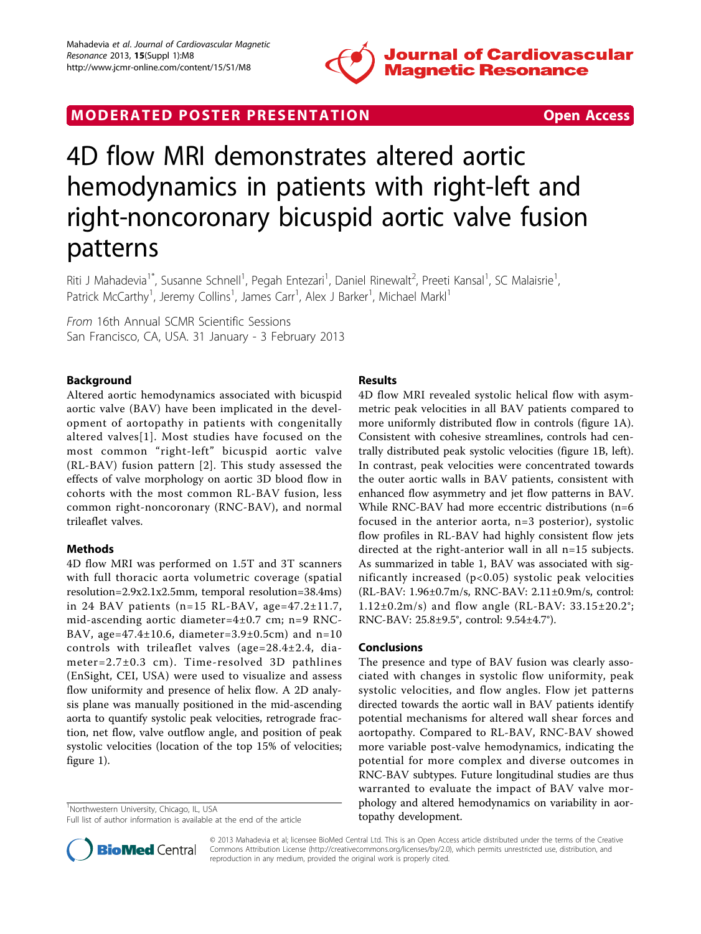

## MODERATED POSTER PRESENTATION **SECURE 20 SET ACCESS**



# 4D flow MRI demonstrates altered aortic hemodynamics in patients with right-left and right-noncoronary bicuspid aortic valve fusion patterns

Riti J Mahadevia<sup>1\*</sup>, Susanne Schnell<sup>1</sup>, Pegah Entezari<sup>1</sup>, Daniel Rinewalt<sup>2</sup>, Preeti Kansal<sup>1</sup>, SC Malaisrie<sup>1</sup> , Patrick McCarthy<sup>1</sup>, Jeremy Collins<sup>1</sup>, James Carr<sup>1</sup>, Alex J Barker<sup>1</sup>, Michael Markl<sup>1</sup>

From 16th Annual SCMR Scientific Sessions San Francisco, CA, USA. 31 January - 3 February 2013

## Background

Altered aortic hemodynamics associated with bicuspid aortic valve (BAV) have been implicated in the development of aortopathy in patients with congenitally altered valves[[1](#page-1-0)]. Most studies have focused on the most common "right-left" bicuspid aortic valve (RL-BAV) fusion pattern [[2\]](#page-1-0). This study assessed the effects of valve morphology on aortic 3D blood flow in cohorts with the most common RL-BAV fusion, less common right-noncoronary (RNC-BAV), and normal trileaflet valves.

## Methods

4D flow MRI was performed on 1.5T and 3T scanners with full thoracic aorta volumetric coverage (spatial resolution=2.9x2.1x2.5mm, temporal resolution=38.4ms) in 24 BAV patients (n=15 RL-BAV, age=47.2±11.7, mid-ascending aortic diameter=4±0.7 cm; n=9 RNC-BAV, age= $47.4 \pm 10.6$ , diameter= $3.9 \pm 0.5$ cm) and n=10 controls with trileaflet valves (age=28.4±2.4, diameter=2.7±0.3 cm). Time-resolved 3D pathlines (EnSight, CEI, USA) were used to visualize and assess flow uniformity and presence of helix flow. A 2D analysis plane was manually positioned in the mid-ascending aorta to quantify systolic peak velocities, retrograde fraction, net flow, valve outflow angle, and position of peak systolic velocities (location of the top 15% of velocities; figure [1](#page-1-0)).

<sup>1</sup>Northwestern University, Chicago, IL, USA

## Results

4D flow MRI revealed systolic helical flow with asymmetric peak velocities in all BAV patients compared to more uniformly distributed flow in controls (figure [1A](#page-1-0)). Consistent with cohesive streamlines, controls had centrally distributed peak systolic velocities (figure [1B,](#page-1-0) left). In contrast, peak velocities were concentrated towards the outer aortic walls in BAV patients, consistent with enhanced flow asymmetry and jet flow patterns in BAV. While RNC-BAV had more eccentric distributions (n=6 focused in the anterior aorta, n=3 posterior), systolic flow profiles in RL-BAV had highly consistent flow jets directed at the right-anterior wall in all n=15 subjects. As summarized in table [1](#page-1-0), BAV was associated with significantly increased (p<0.05) systolic peak velocities (RL-BAV: 1.96±0.7m/s, RNC-BAV: 2.11±0.9m/s, control:  $1.12\pm0.2m/s$ ) and flow angle (RL-BAV: 33.15 $\pm$ 20.2°; RNC-BAV: 25.8±9.5°, control: 9.54±4.7°).

### Conclusions

The presence and type of BAV fusion was clearly associated with changes in systolic flow uniformity, peak systolic velocities, and flow angles. Flow jet patterns directed towards the aortic wall in BAV patients identify potential mechanisms for altered wall shear forces and aortopathy. Compared to RL-BAV, RNC-BAV showed more variable post-valve hemodynamics, indicating the potential for more complex and diverse outcomes in RNC-BAV subtypes. Future longitudinal studies are thus warranted to evaluate the impact of BAV valve morphology and altered hemodynamics on variability in aortopathy development.



© 2013 Mahadevia et al; licensee BioMed Central Ltd. This is an Open Access article distributed under the terms of the Creative Commons Attribution License [\(http://creativecommons.org/licenses/by/2.0](http://creativecommons.org/licenses/by/2.0)), which permits unrestricted use, distribution, and reproduction in any medium, provided the original work is properly cited.

Full list of author information is available at the end of the article